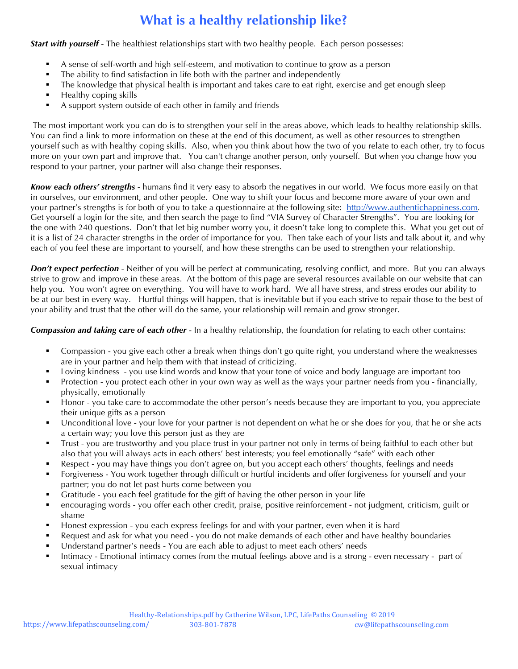## **What is a healthy relationship like?**

*Start with yourself* - The healthiest relationships start with two healthy people. Each person possesses:

- ! A sense of self-worth and high self-esteem, and motivation to continue to grow as a person
- The ability to find satisfaction in life both with the partner and independently
- ! The knowledge that physical health is important and takes care to eat right, exercise and get enough sleep
- **E** Healthy coping skills
- A support system outside of each other in family and friends

 The most important work you can do is to strengthen your self in the areas above, which leads to healthy relationship skills. You can find a link to more information on these at the end of this document, as well as other resources to strengthen yourself such as with healthy coping skills. Also, when you think about how the two of you relate to each other, try to focus more on your own part and improve that. You can't change another person, only yourself. But when you change how you respond to your partner, your partner will also change their responses.

*Know each others' strengths* - humans find it very easy to absorb the negatives in our world. We focus more easily on that in ourselves, our environment, and other people. One way to shift your focus and become more aware of your own and your partner's strengths is for both of you to take a questionnaire at the following site: http://www.authentichappiness.com. Get yourself a login for the site, and then search the page to find "VIA Survey of Character Strengths". You are looking for the one with 240 questions. Don't that let big number worry you, it doesn't take long to complete this. What you get out of it is a list of 24 character strengths in the order of importance for you. Then take each of your lists and talk about it, and why each of you feel these are important to yourself, and how these strengths can be used to strengthen your relationship.

*Don't expect perfection* - Neither of you will be perfect at communicating, resolving conflict, and more. But you can always strive to grow and improve in these areas. At the bottom of this page are several resources available on our website that can help you. You won't agree on everything. You will have to work hard. We all have stress, and stress erodes our ability to be at our best in every way. Hurtful things will happen, that is inevitable but if you each strive to repair those to the best of your ability and trust that the other will do the same, your relationship will remain and grow stronger.

*Compassion and taking care of each other* - In a healthy relationship, the foundation for relating to each other contains:

- ! Compassion you give each other a break when things don't go quite right, you understand where the weaknesses are in your partner and help them with that instead of criticizing.
- ! Loving kindness you use kind words and know that your tone of voice and body language are important too
- ! Protection you protect each other in your own way as well as the ways your partner needs from you financially, physically, emotionally
- ! Honor you take care to accommodate the other person's needs because they are important to you, you appreciate their unique gifts as a person
- ! Unconditional love your love for your partner is not dependent on what he or she does for you, that he or she acts a certain way; you love this person just as they are
- ! Trust you are trustworthy and you place trust in your partner not only in terms of being faithful to each other but also that you will always acts in each others' best interests; you feel emotionally "safe" with each other
- Respect you may have things you don't agree on, but you accept each others' thoughts, feelings and needs
- ! Forgiveness You work together through difficult or hurtful incidents and offer forgiveness for yourself and your partner; you do not let past hurts come between you
- ! Gratitude you each feel gratitude for the gift of having the other person in your life
- encouraging words you offer each other credit, praise, positive reinforcement not judgment, criticism, guilt or shame
- ! Honest expression you each express feelings for and with your partner, even when it is hard
- Request and ask for what you need you do not make demands of each other and have healthy boundaries
- ! Understand partner's needs You are each able to adjust to meet each others' needs
- ! Intimacy Emotional intimacy comes from the mutual feelings above and is a strong even necessary part of sexual intimacy